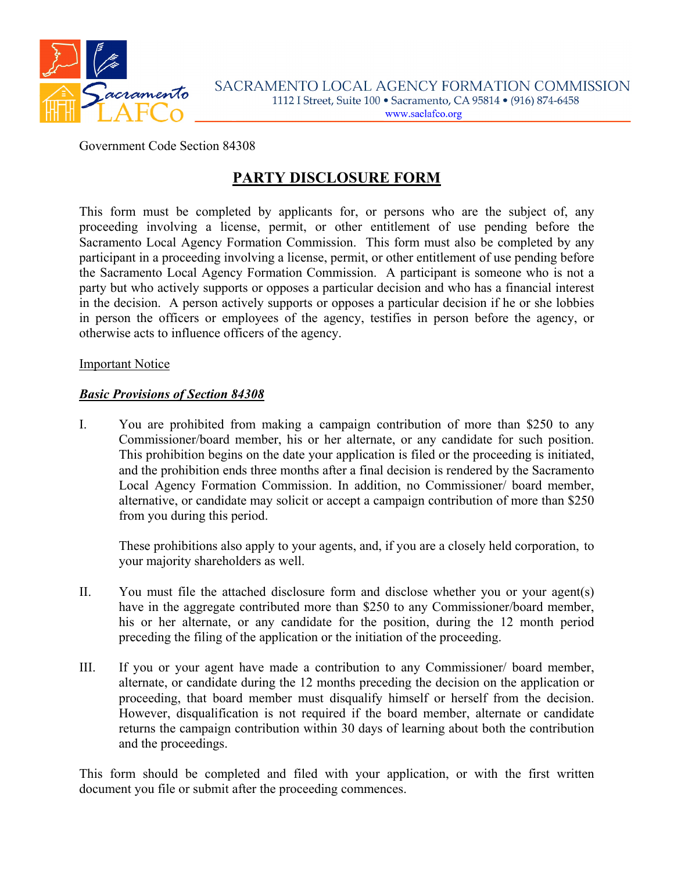

### Government Code Section 84308

# **PARTY DISCLOSURE FORM**

This form must be completed by applicants for, or persons who are the subject of, any proceeding involving a license, permit, or other entitlement of use pending before the Sacramento Local Agency Formation Commission. This form must also be completed by any participant in a proceeding involving a license, permit, or other entitlement of use pending before the Sacramento Local Agency Formation Commission. A participant is someone who is not a party but who actively supports or opposes a particular decision and who has a financial interest in the decision. A person actively supports or opposes a particular decision if he or she lobbies in person the officers or employees of the agency, testifies in person before the agency, or otherwise acts to influence officers of the agency.

#### Important Notice

#### *Basic Provisions of Section 84308*

I. You are prohibited from making a campaign contribution of more than \$250 to any Commissioner/board member, his or her alternate, or any candidate for such position. This prohibition begins on the date your application is filed or the proceeding is initiated, and the prohibition ends three months after a final decision is rendered by the Sacramento Local Agency Formation Commission. In addition, no Commissioner/ board member, alternative, or candidate may solicit or accept a campaign contribution of more than \$250 from you during this period.

These prohibitions also apply to your agents, and, if you are a closely held corporation, to your majority shareholders as well.

- II. You must file the attached disclosure form and disclose whether you or your agent(s) have in the aggregate contributed more than \$250 to any Commissioner/board member, his or her alternate, or any candidate for the position, during the 12 month period preceding the filing of the application or the initiation of the proceeding.
- III. If you or your agent have made a contribution to any Commissioner/ board member, alternate, or candidate during the 12 months preceding the decision on the application or proceeding, that board member must disqualify himself or herself from the decision. However, disqualification is not required if the board member, alternate or candidate returns the campaign contribution within 30 days of learning about both the contribution and the proceedings.

This form should be completed and filed with your application, or with the first written document you file or submit after the proceeding commences.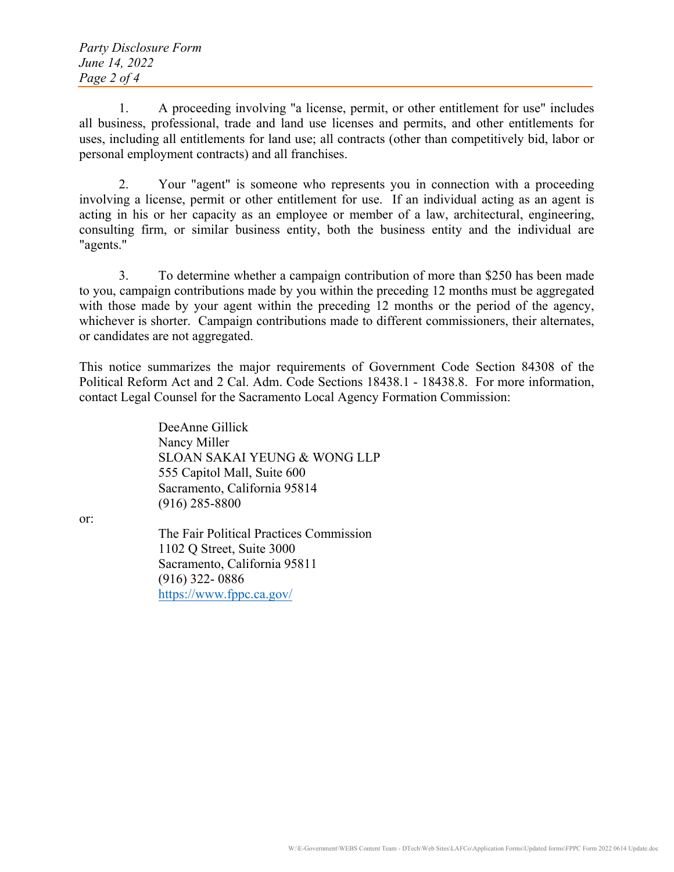1. A proceeding involving "a license, permit, or other entitlement for use" includes all business, professional, trade and land use licenses and permits, and other entitlements for uses, including all entitlements for land use; all contracts (other than competitively bid, labor or personal employment contracts) and all franchises.

 2. Your "agent" is someone who represents you in connection with a proceeding involving a license, permit or other entitlement for use. If an individual acting as an agent is acting in his or her capacity as an employee or member of a law, architectural, engineering, consulting firm, or similar business entity, both the business entity and the individual are "agents."

 3. To determine whether a campaign contribution of more than \$250 has been made to you, campaign contributions made by you within the preceding 12 months must be aggregated with those made by your agent within the preceding 12 months or the period of the agency, whichever is shorter. Campaign contributions made to different commissioners, their alternates, or candidates are not aggregated.

This notice summarizes the major requirements of Government Code Section 84308 of the Political Reform Act and 2 Cal. Adm. Code Sections 18438.1 - 18438.8. For more information, contact Legal Counsel for the Sacramento Local Agency Formation Commission:

> DeeAnne Gillick Nancy Miller SLOAN SAKAI YEUNG & WONG LLP 555 Capitol Mall, Suite 600 Sacramento, California 95814 (916) 285-8800

or:

 The Fair Political Practices Commission 1102 Q Street, Suite 3000 Sacramento, California 95811 (916) 322- 0886 <https://www.fppc.ca.gov/>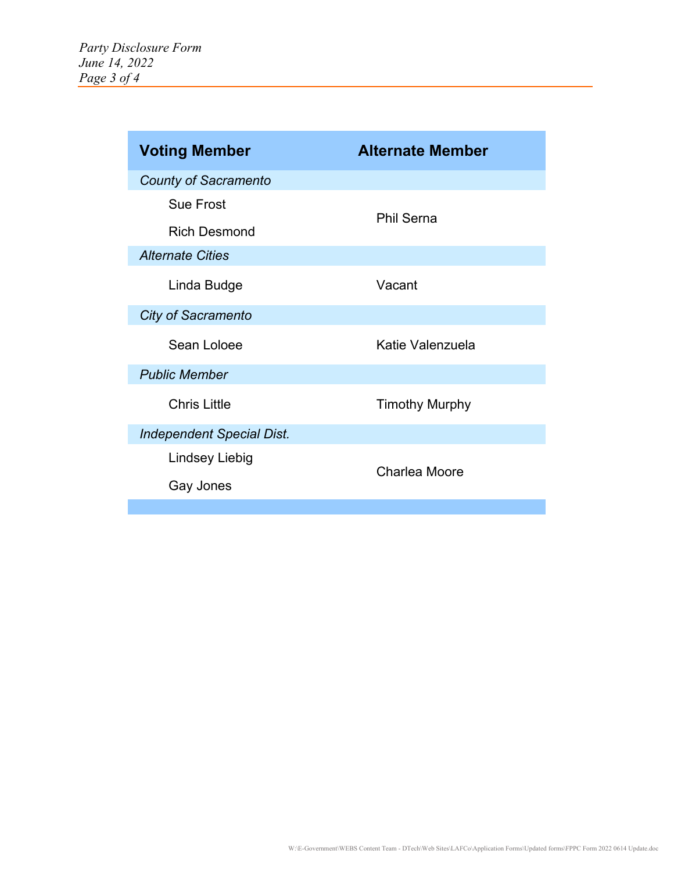| <b>Voting Member</b>             | <b>Alternate Member</b> |
|----------------------------------|-------------------------|
| <b>County of Sacramento</b>      |                         |
| <b>Sue Frost</b>                 | <b>Phil Serna</b>       |
| <b>Rich Desmond</b>              |                         |
| <b>Alternate Cities</b>          |                         |
| Linda Budge                      | Vacant                  |
| <b>City of Sacramento</b>        |                         |
| Sean Loloee                      | Katie Valenzuela        |
| <b>Public Member</b>             |                         |
| <b>Chris Little</b>              | <b>Timothy Murphy</b>   |
| <b>Independent Special Dist.</b> |                         |
| <b>Lindsey Liebig</b>            | <b>Charlea Moore</b>    |
| Gay Jones                        |                         |